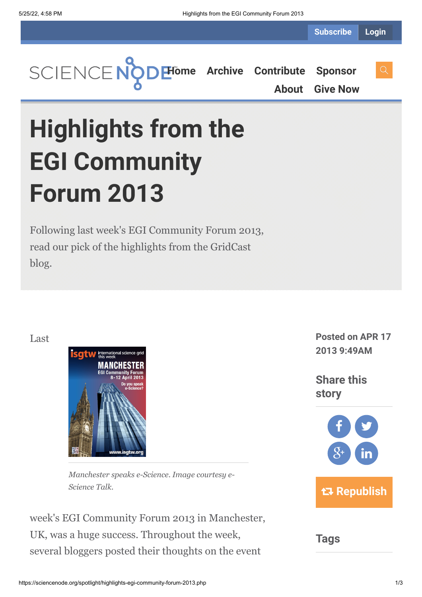**[Home](https://sciencenode.org/) [Archive](https://sciencenode.org/archive/index.php) [Contribute](https://sciencenode.org/contribute/index.php) [Sponsor](https://sciencenode.org/sponsor/index.php)**

**[About](https://sciencenode.org/about/index.php) [Give Now](https://sciencenode.org/donate/index.php)**

# **Highlights from the EGI Community Forum 2013**

Following last week's EGI Community Forum 2013, read our pick of the highlights from the GridCast blog.

Last



*Manchester speaks e-Science. Image courtesy e-Science Talk.*

week's EGI Community Forum 2013 in Manchester, UK, was a huge success. Throughout the week, several bloggers posted their thoughts on the event

**Posted on APR 17 2013 9:49AM**

**Share this story**



**Tags**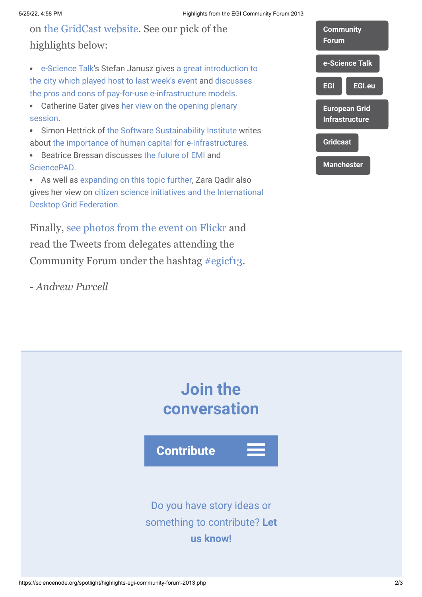## on [the GridCast website](http://www.gridcast.org/). See our pick of the highlights below:

- [e-Science Talk](http://www.e-sciencetalk.org/)'s Stefan Janusz gives a great introduction to [the city which played host to last week's event and discusses](http://gridtalk-project.blogspot.fr/2013/04/introduction-to-egicf13.html) the pros and cons of pay-for-use e-infrastructure models.
- [Catherine Gater gives her view on the opening plenary](http://gridtalk-project.blogspot.fr/2013/04/the-european-grid-infrastructure.html) session.
- Simon Hettrick of [the Software Sustainability Institute](http://en.wikipedia.org/wiki/The_Software_Sustainability_Institute) writes about [the importance of human capital for e-infrastructures](http://gridtalk-project.blogspot.fr/2013/04/dont-forget-people-fractured-training.html).
- Beatrice Bressan discusses [the future of EMI](http://gridtalk-project.blogspot.fr/2013/04/good-perspectives-for-beyond-emi.html) and **SciencePAD**
- As well as [expanding on this topic further](http://gridtalk-project.blogspot.fr/2013/04/facilitating-discovery-and-uptake-of.html), Zara Qadir also [gives her view on citizen science initiatives and the International](http://gridtalk-project.blogspot.co.uk/2013/04/getting-citizen-scientists-on-your-team.html) Desktop Grid Federation.

Finally, [see photos from the event on Flickr](http://www.flickr.com/photos/tags/egicf13/) and read the Tweets from delegates attending the Community Forum under the hashtag [#egicf13](https://twitter.com/search/realtime?q=%23EGICF13&src=hash).

*- Andrew Purcell*

| <b>Community</b><br>Forum                     |
|-----------------------------------------------|
| e-Science Talk                                |
| EGI<br><b>EGI.eu</b>                          |
| <b>European Grid</b><br><b>Infrastructure</b> |
| <b>Gridcast</b>                               |
| <b>Manchester</b>                             |